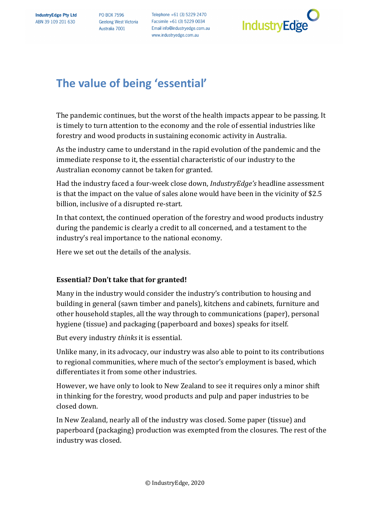**PO BOX 7596 Geelong West Victoria** Australia 7001

Telephone +61 (3) 5229 2470 Facsimile +61 (3) 5229 0034 Email info@industryedge.com.au www.industryedge.com.au



# **The value of being 'essential'**

The pandemic continues, but the worst of the health impacts appear to be passing. It is timely to turn attention to the economy and the role of essential industries like forestry and wood products in sustaining economic activity in Australia.

As the industry came to understand in the rapid evolution of the pandemic and the immediate response to it, the essential characteristic of our industry to the Australian economy cannot be taken for granted.

Had the industry faced a four-week close down, *IndustryEdge's* headline assessment is that the impact on the value of sales alone would have been in the vicinity of \$2.5 billion, inclusive of a disrupted re-start.

In that context, the continued operation of the forestry and wood products industry during the pandemic is clearly a credit to all concerned, and a testament to the industry's real importance to the national economy.

Here we set out the details of the analysis.

## **Essential?** Don't take that for granted!

Many in the industry would consider the industry's contribution to housing and building in general (sawn timber and panels), kitchens and cabinets, furniture and other household staples, all the way through to communications (paper), personal hygiene (tissue) and packaging (paperboard and boxes) speaks for itself.

But every industry *thinks* it is essential.

Unlike many, in its advocacy, our industry was also able to point to its contributions to regional communities, where much of the sector's employment is based, which differentiates it from some other industries.

However, we have only to look to New Zealand to see it requires only a minor shift in thinking for the forestry, wood products and pulp and paper industries to be closed down.

In New Zealand, nearly all of the industry was closed. Some paper (tissue) and paperboard (packaging) production was exempted from the closures. The rest of the industry was closed.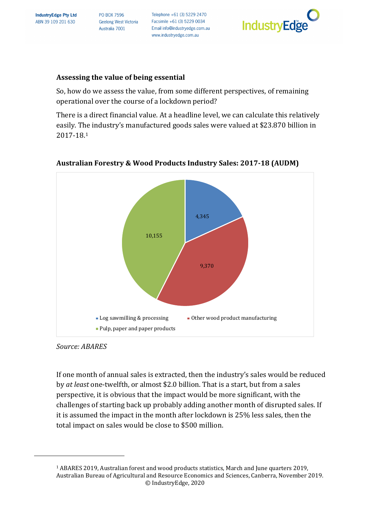**PO BOX 7596 Geelong West Victoria** Australia 7001

Telephone +61 (3) 5229 2470 Facsimile +61 (3) 5229 0034 Email info@industryedge.com.au www.industryedge.com.au



#### Assessing the value of being essential

So, how do we assess the value, from some different perspectives, of remaining operational over the course of a lockdown period?

There is a direct financial value. At a headline level, we can calculate this relatively easily. The industry's manufactured goods sales were valued at \$23.870 billion in 2017-18.1



#### **Australian Forestry & Wood Products Industry Sales: 2017-18 (AUDM)**

#### *Source: ABARES*

If one month of annual sales is extracted, then the industry's sales would be reduced by *at least* one-twelfth, or almost \$2.0 billion. That is a start, but from a sales perspective, it is obvious that the impact would be more significant, with the challenges of starting back up probably adding another month of disrupted sales. If it is assumed the impact in the month after lockdown is 25% less sales, then the total impact on sales would be close to \$500 million.

<sup>©</sup> IndustryEdge, 2020 2 <sup>1</sup> ABARES 2019, Australian forest and wood products statistics, March and June quarters 2019, Australian Bureau of Agricultural and Resource Economics and Sciences, Canberra, November 2019.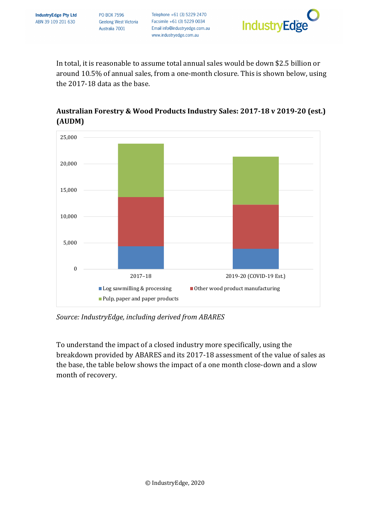Telephone +61 (3) 5229 2470 Facsimile +61 (3) 5229 0034 Email info@industryedge.com.au www.industryedge.com.au



In total, it is reasonable to assume total annual sales would be down \$2.5 billion or around 10.5% of annual sales, from a one-month closure. This is shown below, using the 2017-18 data as the base.



# Australian Forestry & Wood Products Industry Sales: 2017-18 v 2019-20 (est.) **(AUDM)**

Source: IndustryEdge, including derived from ABARES

To understand the impact of a closed industry more specifically, using the breakdown provided by ABARES and its 2017-18 assessment of the value of sales as the base, the table below shows the impact of a one month close-down and a slow month of recovery.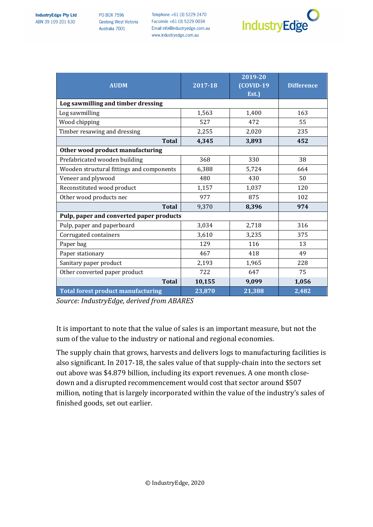Telephone +61 (3) 5229 2470 Facsimile +61 (3) 5229 0034 Email info@industryedge.com.au www.industryedge.com.au



| <b>AUDM</b>                               | 2017-18 | 2019-20<br><b>(COVID-19)</b><br>Est.) | <b>Difference</b> |
|-------------------------------------------|---------|---------------------------------------|-------------------|
| Log sawmilling and timber dressing        |         |                                       |                   |
| Log sawmilling                            | 1,563   | 1,400                                 | 163               |
| Wood chipping                             | 527     | 472                                   | 55                |
| Timber resawing and dressing              | 2,255   | 2,020                                 | 235               |
| <b>Total</b>                              | 4,345   | 3,893                                 | 452               |
| Other wood product manufacturing          |         |                                       |                   |
| Prefabricated wooden building             | 368     | 330                                   | 38                |
| Wooden structural fittings and components | 6,388   | 5,724                                 | 664               |
| Veneer and plywood                        | 480     | 430                                   | 50                |
| Reconstituted wood product                | 1,157   | 1,037                                 | 120               |
| Other wood products nec                   | 977     | 875                                   | 102               |
| <b>Total</b>                              | 9,370   | 8,396                                 | 974               |
| Pulp, paper and converted paper products  |         |                                       |                   |
| Pulp, paper and paperboard                | 3,034   | 2,718                                 | 316               |
| Corrugated containers                     | 3,610   | 3,235                                 | 375               |
| Paper bag                                 | 129     | 116                                   | 13                |
| Paper stationary                          | 467     | 418                                   | 49                |
| Sanitary paper product                    | 2,193   | 1,965                                 | 228               |
| Other converted paper product             | 722     | 647                                   | 75                |
| <b>Total</b>                              | 10,155  | 9,099                                 | 1,056             |
| <b>Total forest product manufacturing</b> | 23,870  | 21,388                                | 2,482             |

Source: IndustryEdge, derived from ABARES

It is important to note that the value of sales is an important measure, but not the sum of the value to the industry or national and regional economies.

The supply chain that grows, harvests and delivers logs to manufacturing facilities is also significant. In 2017-18, the sales value of that supply-chain into the sectors set out above was \$4.879 billion, including its export revenues. A one month closedown and a disrupted recommencement would cost that sector around \$507 million, noting that is largely incorporated within the value of the industry's sales of finished goods, set out earlier.